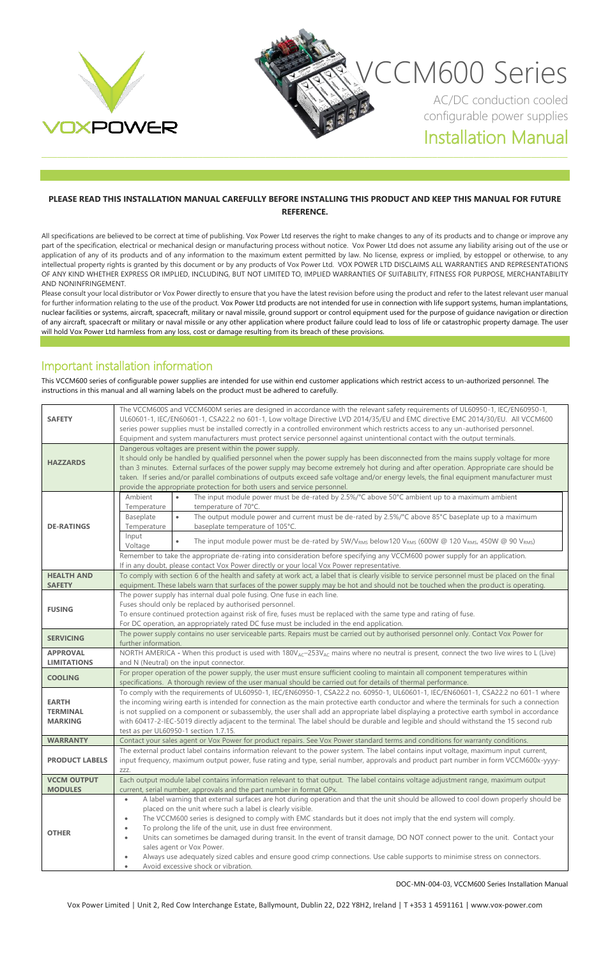

#### **PLEASE READ THIS INSTALLATION MANUAL CAREFULLY BEFORE INSTALLING THIS PRODUCT AND KEEP THIS MANUAL FOR FUTURE REFERENCE.**

All specifications are believed to be correct at time of publishing. Vox Power Ltd reserves the right to make changes to any of its products and to change or improve any part of the specification, electrical or mechanical design or manufacturing process without notice. Vox Power Ltd does not assume any liability arising out of the use or application of any of its products and of any information to the maximum extent permitted by law. No license, express or implied, by estoppel or otherwise, to any intellectual property rights is granted by this document or by any products of Vox Power Ltd. VOX POWER LTD DISCLAIMS ALL WARRANTIES AND REPRESENTATIONS OF ANY KIND WHETHER EXPRESS OR IMPLIED, INCLUDING, BUT NOT LIMITED TO, IMPLIED WARRANTIES OF SUITABILITY, FITNESS FOR PURPOSE, MERCHANTABILITY AND NONINFRINGEMENT.

Please consult your local distributor or Vox Power directly to ensure that you have the latest revision before using the product and refer to the latest relevant user manual for further information relating to the use of the product. Vox Power Ltd products are not intended for use in connection with life support systems, human implantations, nuclear facilities or systems, aircraft, spacecraft, military or naval missile, ground support or control equipment used for the purpose of guidance navigation or direction of any aircraft, spacecraft or military or naval missile or any other application where product failure could lead to loss of life or catastrophic property damage. The user will hold Vox Power Ltd harmless from any loss, cost or damage resulting from its breach of these provisions.

### Important installation information

This VCCM600 series of configurable power supplies are intended for use within end customer applications which restrict access to un-authorized personnel. The instructions in this manual and all warning labels on the product must be adhered to carefully.

| <b>SAFETY</b>                                     | The VCCM600S and VCCM600M series are designed in accordance with the relevant safety requirements of UL60950-1, IEC/EN60950-1,<br>UL60601-1, IEC/EN60601-1, CSA22.2 no 601-1, Low voltage Directive LVD 2014/35/EU and EMC directive EMC 2014/30/EU. All VCCM600<br>series power supplies must be installed correctly in a controlled environment which restricts access to any un-authorised personnel.<br>Equipment and system manufacturers must protect service personnel against unintentional contact with the output terminals.                                                                                                                                                                                                                                                                                                  |
|---------------------------------------------------|-----------------------------------------------------------------------------------------------------------------------------------------------------------------------------------------------------------------------------------------------------------------------------------------------------------------------------------------------------------------------------------------------------------------------------------------------------------------------------------------------------------------------------------------------------------------------------------------------------------------------------------------------------------------------------------------------------------------------------------------------------------------------------------------------------------------------------------------|
| <b>HAZZARDS</b>                                   | Dangerous voltages are present within the power supply.<br>It should only be handled by qualified personnel when the power supply has been disconnected from the mains supply voltage for more<br>than 3 minutes. External surfaces of the power supply may become extremely hot during and after operation. Appropriate care should be<br>taken. If series and/or parallel combinations of outputs exceed safe voltage and/or energy levels, the final equipment manufacturer must<br>provide the appropriate protection for both users and service personnel.                                                                                                                                                                                                                                                                         |
| <b>DE-RATINGS</b>                                 | The input module power must be de-rated by 2.5%/°C above 50°C ambient up to a maximum ambient<br>Ambient<br>temperature of 70°C.<br>Temperature<br>The output module power and current must be de-rated by 2.5%/°C above 85°C baseplate up to a maximum<br>Baseplate<br>baseplate temperature of 105°C.<br>Temperature<br>Input<br>The input module power must be de-rated by 5W/V <sub>RMS</sub> below120 V <sub>RMS</sub> (600W @ 120 V <sub>RMS</sub> , 450W @ 90 V <sub>RMS</sub> )<br>Voltage<br>Remember to take the appropriate de-rating into consideration before specifying any VCCM600 power supply for an application.<br>If in any doubt, please contact Vox Power directly or your local Vox Power representative.                                                                                                        |
| <b>HEALTH AND</b><br><b>SAFETY</b>                | To comply with section 6 of the health and safety at work act, a label that is clearly visible to service personnel must be placed on the final<br>equipment. These labels warn that surfaces of the power supply may be hot and should not be touched when the product is operating.                                                                                                                                                                                                                                                                                                                                                                                                                                                                                                                                                   |
| <b>FUSING</b>                                     | The power supply has internal dual pole fusing. One fuse in each line.<br>Fuses should only be replaced by authorised personnel.<br>To ensure continued protection against risk of fire, fuses must be replaced with the same type and rating of fuse.<br>For DC operation, an appropriately rated DC fuse must be included in the end application.                                                                                                                                                                                                                                                                                                                                                                                                                                                                                     |
| <b>SERVICING</b>                                  | The power supply contains no user serviceable parts. Repairs must be carried out by authorised personnel only. Contact Vox Power for<br>further information.                                                                                                                                                                                                                                                                                                                                                                                                                                                                                                                                                                                                                                                                            |
| <b>APPROVAL</b>                                   | NORTH AMERICA - When this product is used with 180V <sub>AC</sub> -253V <sub>AC</sub> mains where no neutral is present, connect the two live wires to L (Live)                                                                                                                                                                                                                                                                                                                                                                                                                                                                                                                                                                                                                                                                         |
| <b>LIMITATIONS</b>                                | and N (Neutral) on the input connector.                                                                                                                                                                                                                                                                                                                                                                                                                                                                                                                                                                                                                                                                                                                                                                                                 |
| <b>COOLING</b>                                    | For proper operation of the power supply, the user must ensure sufficient cooling to maintain all component temperatures within<br>specifications. A thorough review of the user manual should be carried out for details of thermal performance.                                                                                                                                                                                                                                                                                                                                                                                                                                                                                                                                                                                       |
| <b>EARTH</b><br><b>TERMINAL</b><br><b>MARKING</b> | To comply with the requirements of UL60950-1, IEC/EN60950-1, CSA22.2 no. 60950-1, UL60601-1, IEC/EN60601-1, CSA22.2 no 601-1 where<br>the incoming wiring earth is intended for connection as the main protective earth conductor and where the terminals for such a connection<br>is not supplied on a component or subassembly, the user shall add an appropriate label displaying a protective earth symbol in accordance<br>with 60417-2-IEC-5019 directly adjacent to the terminal. The label should be durable and legible and should withstand the 15 second rub<br>test as per UL60950-1 section 1.7.15.                                                                                                                                                                                                                        |
| <b>WARRANTY</b>                                   | Contact your sales agent or Vox Power for product repairs. See Vox Power standard terms and conditions for warranty conditions.                                                                                                                                                                                                                                                                                                                                                                                                                                                                                                                                                                                                                                                                                                         |
| <b>PRODUCT LABELS</b>                             | The external product label contains information relevant to the power system. The label contains input voltage, maximum input current,<br>input frequency, maximum output power, fuse rating and type, serial number, approvals and product part number in form VCCM600x-yyyy-<br>ZZZ.                                                                                                                                                                                                                                                                                                                                                                                                                                                                                                                                                  |
| <b>VCCM OUTPUT</b><br><b>MODULES</b>              | Each output module label contains information relevant to that output. The label contains voltage adjustment range, maximum output                                                                                                                                                                                                                                                                                                                                                                                                                                                                                                                                                                                                                                                                                                      |
| <b>OTHER</b>                                      | current, serial number, approvals and the part number in format OPx.<br>A label warning that external surfaces are hot during operation and that the unit should be allowed to cool down properly should be<br>$\bullet$<br>placed on the unit where such a label is clearly visible.<br>The VCCM600 series is designed to comply with EMC standards but it does not imply that the end system will comply.<br>٠<br>To prolong the life of the unit, use in dust free environment.<br>٠<br>Units can sometimes be damaged during transit. In the event of transit damage, DO NOT connect power to the unit. Contact your<br>$\bullet$<br>sales agent or Vox Power.<br>Always use adequately sized cables and ensure good crimp connections. Use cable supports to minimise stress on connectors.<br>Avoid excessive shock or vibration. |

DOC-MN-004-03, VCCM600 Series Installation Manual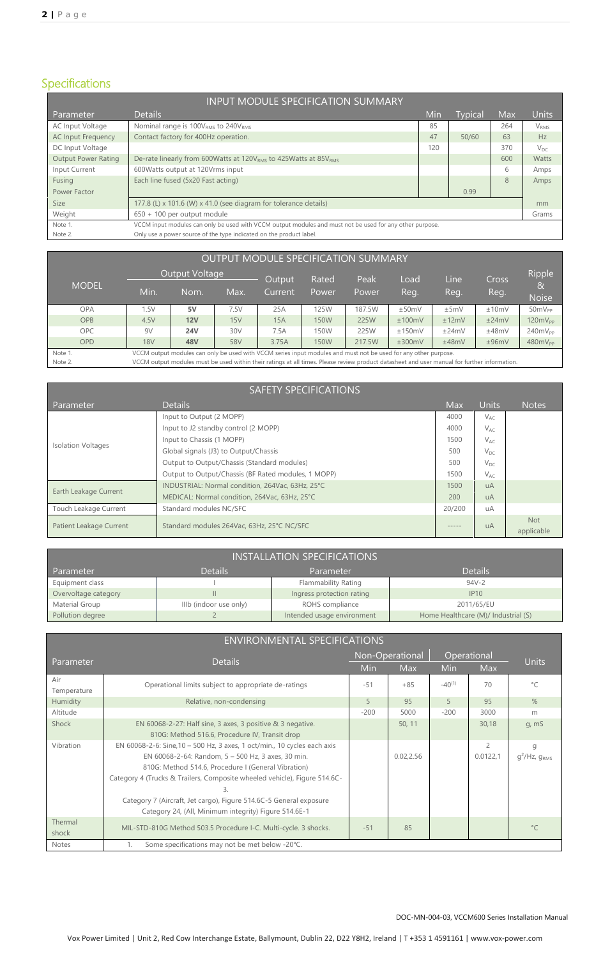# Specifications

| <b>INPUT MODULE SPECIFICATION SUMMARY</b> |                                                                                                          |     |                |     |                  |
|-------------------------------------------|----------------------------------------------------------------------------------------------------------|-----|----------------|-----|------------------|
| Parameter                                 | <b>Details</b>                                                                                           | Min | <b>Typical</b> | Max | <b>Units</b>     |
| AC Input Voltage                          | Nominal range is 100V <sub>RMS</sub> to 240V <sub>RMS</sub>                                              | 85  |                | 264 | V <sub>RMS</sub> |
| <b>AC Input Frequency</b>                 | Contact factory for 400Hz operation.                                                                     | 47  | 50/60          | 63  | Hz               |
| DC Input Voltage                          |                                                                                                          | 120 |                | 370 | $V_{DC}$         |
| <b>Output Power Rating</b>                | De-rate linearly from 600Watts at 120V <sub>RMS</sub> to 425Watts at 85V <sub>RMS</sub>                  |     |                | 600 | Watts            |
| Input Current                             | 600 Watts output at 120 Vrms input                                                                       |     |                | 6   | Amps             |
| Fusing                                    | Each line fused (5x20 Fast acting)                                                                       |     |                | 8   | Amps             |
| Power Factor                              |                                                                                                          |     | 0.99           |     |                  |
| <b>Size</b>                               | 177.8 (L) x 101.6 (W) x 41.0 (see diagram for tolerance details)                                         |     |                |     | mm               |
| Weight                                    | 650 + 100 per output module                                                                              |     |                |     | Grams            |
| Note 1.                                   | VCCM input modules can only be used with VCCM output modules and must not be used for any other purpose. |     |                |     |                  |
| Note 2.                                   | Only use a power source of the type indicated on the product label.                                      |     |                |     |                  |

|              |            |                                                                                                                                              |      | <b>OUTPUT MODULE SPECIFICATION SUMMARY</b> |                |               |              |              |                      |                                          |
|--------------|------------|----------------------------------------------------------------------------------------------------------------------------------------------|------|--------------------------------------------|----------------|---------------|--------------|--------------|----------------------|------------------------------------------|
| <b>MODEL</b> | Min.       | Output Voltage<br>Nom.                                                                                                                       | Max. | Output<br>Current                          | Rated<br>Power | Peak<br>Power | Load<br>Reg. | Line<br>Reg. | <b>Cross</b><br>Reg. | Ripple<br>8 <sub>4</sub><br><b>Noise</b> |
| <b>OPA</b>   | 1.5V       | 5V                                                                                                                                           | 7.5V | 25A                                        | 125W           | 187.5W        | ±50mV        | ±5mV         | ±10mV                | $50mV_{PP}$                              |
|              |            |                                                                                                                                              |      |                                            |                |               |              |              |                      |                                          |
| <b>OPB</b>   | 4.5V       | 12V                                                                                                                                          | 15V  | 15A                                        | 150W           | 225W          | ±100mV       | ±12mV        | ±24mV                | $120mV_{PP}$                             |
| <b>OPC</b>   | 9V         | <b>24V</b>                                                                                                                                   | 30V  | 7.5A                                       | 150W           | 225W          | ±150mV       | ±24mV        | ±48mV                | 240mV <sub>PP</sub>                      |
| <b>OPD</b>   | <b>18V</b> | <b>48V</b>                                                                                                                                   | 58V  | 3.75A                                      | <b>150W</b>    | 217.5W        | ±300mV       | ±48mV        | ±96mV                | $480mV_{PP}$                             |
| Note 1.      |            | VCCM output modules can only be used with VCCM series input modules and must not be used for any other purpose.                              |      |                                            |                |               |              |              |                      |                                          |
| Note 2.      |            | VCCM output modules must be used within their ratings at all times. Please review product datasheet and user manual for further information. |      |                                            |                |               |              |              |                      |                                          |

|                           | <b>SAFETY SPECIFICATIONS</b>                        |            |              |                          |
|---------------------------|-----------------------------------------------------|------------|--------------|--------------------------|
| Parameter                 | <b>Details</b>                                      | <b>Max</b> | <b>Units</b> | <b>Notes</b>             |
|                           | Input to Output (2 MOPP)                            | 4000       | $V_{AC}$     |                          |
|                           | Input to J2 standby control (2 MOPP)                | 4000       | $V_{AC}$     |                          |
| <b>Isolation Voltages</b> | Input to Chassis (1 MOPP)                           | 1500       | $V_{AC}$     |                          |
|                           | Global signals (J3) to Output/Chassis               | 500        | $V_{DC}$     |                          |
|                           | Output to Output/Chassis (Standard modules)         | 500        | $V_{DC}$     |                          |
|                           | Output to Output/Chassis (BF Rated modules, 1 MOPP) | 1500       | $V_{AC}$     |                          |
| Earth Leakage Current     | INDUSTRIAL: Normal condition, 264Vac, 63Hz, 25°C    | 1500       | <b>uA</b>    |                          |
|                           | MEDICAL: Normal condition, 264Vac, 63Hz, 25°C       | 200        | <b>uA</b>    |                          |
| Touch Leakage Current     | Standard modules NC/SFC                             | 20/200     | uA           |                          |
| Patient Leakage Current   | Standard modules 264Vac, 63Hz, 25°C NC/SFC          | -----      | <b>uA</b>    | <b>Not</b><br>applicable |

| <b>INSTALLATION SPECIFICATIONS</b> |                        |                            |                                     |  |  |  |
|------------------------------------|------------------------|----------------------------|-------------------------------------|--|--|--|
| Parameter                          | <b>Details</b>         | Parameter                  | <b>Details</b>                      |  |  |  |
| Equipment class                    |                        | Flammability Rating        | $94V - 2$                           |  |  |  |
| Overvoltage category               | Ш                      | Ingress protection rating  | IP10                                |  |  |  |
| Material Group                     | IIIb (indoor use only) | ROHS compliance            | 2011/65/EU                          |  |  |  |
| Pollution degree                   |                        | Intended usage environment | Home Healthcare (M)/ Industrial (S) |  |  |  |

|                  | <b>ENVIRONMENTAL SPECIFICATIONS</b>                                       |        |                 |             |                |                             |
|------------------|---------------------------------------------------------------------------|--------|-----------------|-------------|----------------|-----------------------------|
|                  |                                                                           |        | Non-Operational |             | Operational    |                             |
| <b>Parameter</b> | <b>Details</b>                                                            | Min    | Max             | Min         | Max            | <b>Units</b>                |
| Air              | Operational limits subject to appropriate de-ratings                      | $-51$  | $+85$           | $-40^{(1)}$ | 70             | $^{\circ}C$                 |
| Temperature      |                                                                           |        |                 |             |                |                             |
| Humidity         | Relative, non-condensing                                                  | 5      | 95              | 5           | 95             | $\%$                        |
| Altitude         |                                                                           | $-200$ | 5000            | $-200$      | 3000           | m                           |
| Shock            | EN $60068 - 2 - 27$ : Half sine, 3 axes, 3 positive & 3 negative.         |        | 50, 11          |             | 30,18          | g, mS                       |
|                  | 810G: Method 516.6, Procedure IV, Transit drop                            |        |                 |             |                |                             |
| Vibration        | EN 60068-2-6: Sine, 10 - 500 Hz, 3 axes, 1 oct/min., 10 cycles each axis  |        |                 |             | $\overline{c}$ | g                           |
|                  | EN 60068-2-64: Random, 5 - 500 Hz, 3 axes, 30 min.                        |        | 0.02, 2.56      |             | 0.0122,1       | $q^2$ /Hz, g <sub>RMS</sub> |
|                  | 810G: Method 514.6, Procedure I (General Vibration)                       |        |                 |             |                |                             |
|                  | Category 4 (Trucks & Trailers, Composite wheeled vehicle), Figure 514.6C- |        |                 |             |                |                             |
|                  | 3.                                                                        |        |                 |             |                |                             |
|                  | Category 7 (Aircraft, Jet cargo), Figure 514.6C-5 General exposure        |        |                 |             |                |                             |
|                  | Category 24, (All, Minimum integrity) Figure 514.6E-1                     |        |                 |             |                |                             |
| Thermal          |                                                                           | $-51$  |                 |             |                | $^{\circ}C$                 |
| shock            | MIL-STD-810G Method 503.5 Procedure I-C. Multi-cycle. 3 shocks.           |        | 85              |             |                |                             |
| Notes            | Some specifications may not be met below -20°C.<br>1.                     |        |                 |             |                |                             |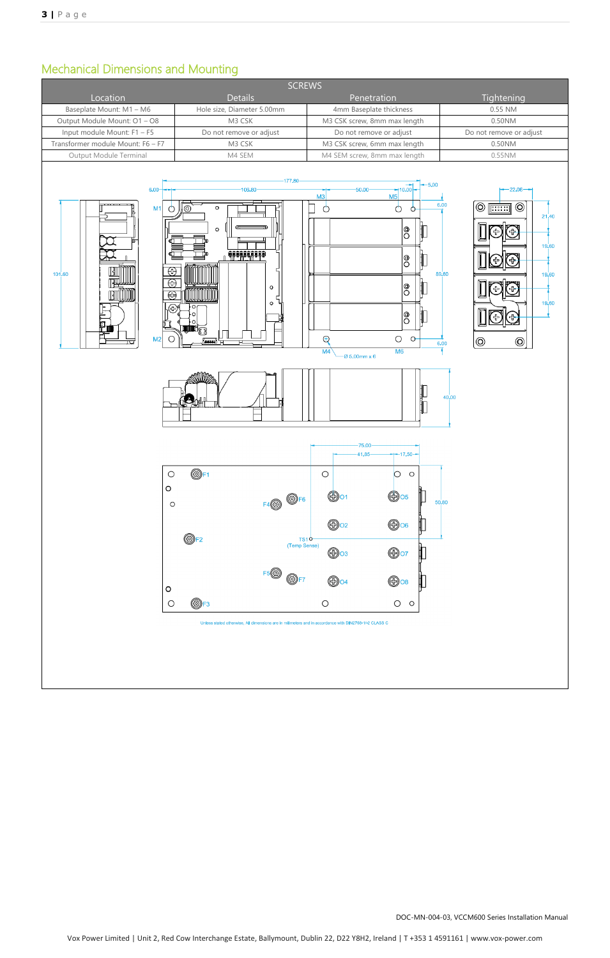# Mechanical Dimensions and Mounting